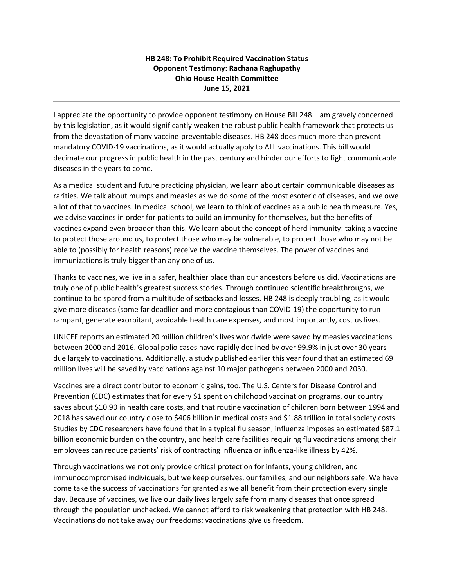## **HB 248: To Prohibit Required Vaccination Status Opponent Testimony: Rachana Raghupathy Ohio House Health Committee June 15, 2021**

I appreciate the opportunity to provide opponent testimony on House Bill 248. I am gravely concerned by this legislation, as it would significantly weaken the robust public health framework that protects us from the devastation of many vaccine-preventable diseases. HB 248 does much more than prevent mandatory COVID-19 vaccinations, as it would actually apply to ALL vaccinations. This bill would decimate our progress in public health in the past century and hinder our efforts to fight communicable diseases in the years to come.

As a medical student and future practicing physician, we learn about certain communicable diseases as rarities. We talk about mumps and measles as we do some of the most esoteric of diseases, and we owe a lot of that to vaccines. In medical school, we learn to think of vaccines as a public health measure. Yes, we advise vaccines in order for patients to build an immunity for themselves, but the benefits of vaccines expand even broader than this. We learn about the concept of herd immunity: taking a vaccine to protect those around us, to protect those who may be vulnerable, to protect those who may not be able to (possibly for health reasons) receive the vaccine themselves. The power of vaccines and immunizations is truly bigger than any one of us.

Thanks to vaccines, we live in a safer, healthier place than our ancestors before us did. Vaccinations are truly one of public health's greatest success stories. Through continued scientific breakthroughs, we continue to be spared from a multitude of setbacks and losses. HB 248 is deeply troubling, as it would give more diseases (some far deadlier and more contagious than COVID-19) the opportunity to run rampant, generate exorbitant, avoidable health care expenses, and most importantly, cost us lives.

UNICEF reports an estimated 20 million children's lives worldwide were saved by measles vaccinations between 2000 and 2016. Global polio cases have rapidly declined by over 99.9% in just over 30 years due largely to vaccinations. Additionally, a study published earlier this year found that an estimated 69 million lives will be saved by vaccinations against 10 major pathogens between 2000 and 2030.

Vaccines are a direct contributor to economic gains, too. The U.S. Centers for Disease Control and Prevention (CDC) estimates that for every \$1 spent on childhood vaccination programs, our country saves about \$10.90 in health care costs, and that routine vaccination of children born between 1994 and 2018 has saved our country close to \$406 billion in medical costs and \$1.88 trillion in total society costs. Studies by CDC researchers have found that in a typical flu season, influenza imposes an estimated \$87.1 billion economic burden on the country, and health care facilities requiring flu vaccinations among their employees can reduce patients' risk of contracting influenza or influenza-like illness by 42%.

Through vaccinations we not only provide critical protection for infants, young children, and immunocompromised individuals, but we keep ourselves, our families, and our neighbors safe. We have come take the success of vaccinations for granted as we all benefit from their protection every single day. Because of vaccines, we live our daily lives largely safe from many diseases that once spread through the population unchecked. We cannot afford to risk weakening that protection with HB 248. Vaccinations do not take away our freedoms; vaccinations *give* us freedom.